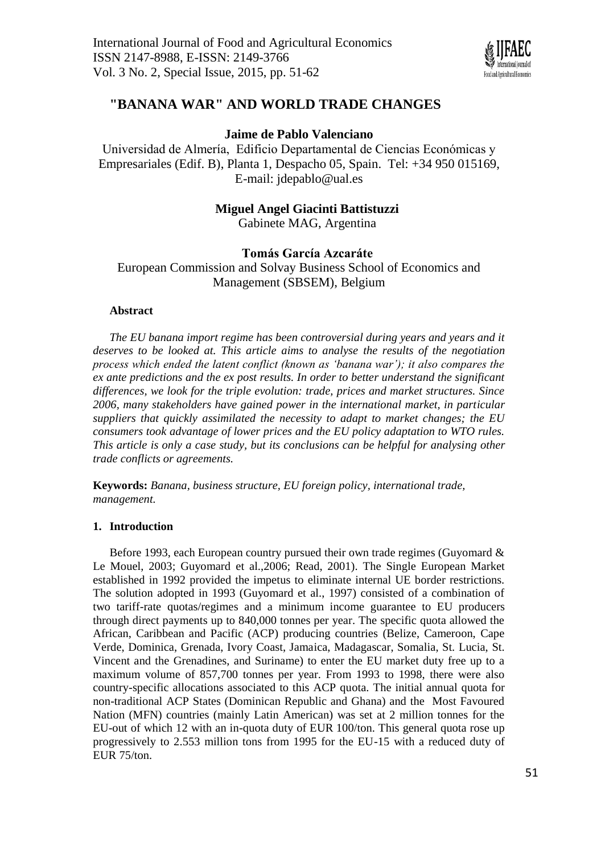

# **"BANANA WAR" AND WORLD TRADE CHANGES**

# **Jaime de Pablo Valenciano**

Universidad de Almería, Edificio Departamental de Ciencias Económicas y Empresariales (Edif. B), Planta 1, Despacho 05, Spain. Tel: +34 950 015169, E-mail: [jdepablo@ual.es](mailto:jdepablo@ual.es)

# **Miguel Angel Giacinti Battistuzzi**

Gabinete MAG, Argentina

# **Tomás García Azcaráte**

European Commission and Solvay Business School of Economics and Management (SBSEM), Belgium

## **Abstract**

*The EU banana import regime has been controversial during years and years and it deserves to be looked at. This article aims to analyse the results of the negotiation process which ended the latent conflict (known as 'banana war'); it also compares the ex ante predictions and the ex post results. In order to better understand the significant differences, we look for the triple evolution: trade, prices and market structures. Since 2006, many stakeholders have gained power in the international market, in particular suppliers that quickly assimilated the necessity to adapt to market changes; the EU consumers took advantage of lower prices and the EU policy adaptation to WTO rules. This article is only a case study, but its conclusions can be helpful for analysing other trade conflicts or agreements.*

**Keywords:** *Banana, business structure, EU foreign policy, international trade, management.*

## **1. Introduction**

Before 1993, each European country pursued their own trade regimes (Guyomard & Le Mouel, 2003; Guyomard et al.,2006; Read, 2001). The Single European Market established in 1992 provided the impetus to eliminate internal UE border restrictions. The solution adopted in 1993 (Guyomard et al., 1997) consisted of a combination of two tariff-rate quotas/regimes and a minimum income guarantee to EU producers through direct payments up to 840,000 tonnes per year. The specific quota allowed the African, Caribbean and Pacific (ACP) producing countries (Belize, Cameroon, Cape Verde, Dominica, Grenada, Ivory Coast, Jamaica, Madagascar, Somalia, St. Lucia, St. Vincent and the Grenadines, and Suriname) to enter the EU market duty free up to a maximum volume of 857,700 tonnes per year. From 1993 to 1998, there were also country-specific allocations associated to this ACP quota. The initial annual quota for non-traditional ACP States (Dominican Republic and Ghana) and the Most Favoured Nation (MFN) countries (mainly Latin American) was set at 2 million tonnes for the EU-out of which 12 with an in-quota duty of EUR 100/ton. This general quota rose up progressively to 2.553 million tons from 1995 for the EU-15 with a reduced duty of EUR 75/ton.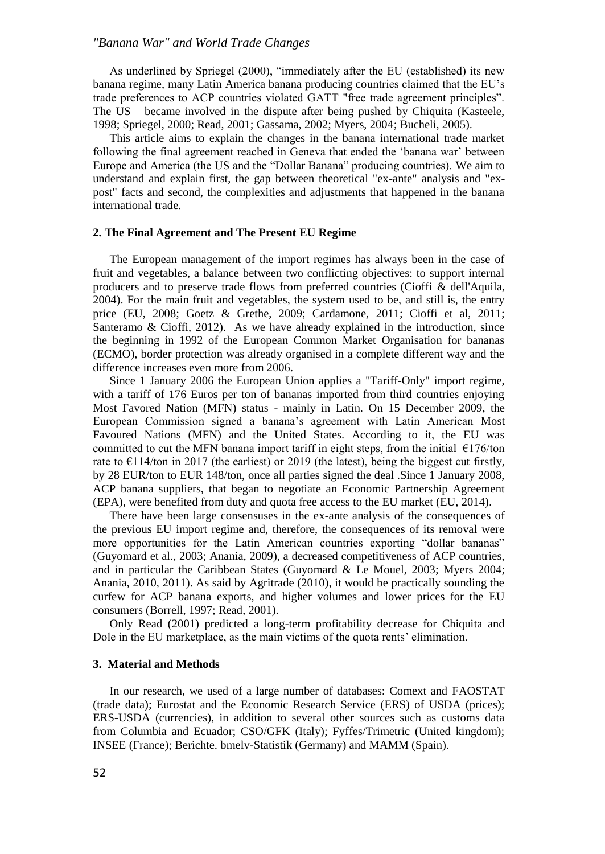As underlined by Spriegel (2000), "immediately after the EU (established) its new banana regime, many Latin America banana producing countries claimed that the EU's trade preferences to ACP countries violated GATT "free trade agreement principles". The US became involved in the dispute after being pushed by Chiquita (Kasteele, 1998; Spriegel, 2000; Read, 2001; Gassama, 2002; Myers, 2004; Bucheli, 2005).

This article aims to explain the changes in the banana international trade market following the final agreement reached in Geneva that ended the 'banana war' between Europe and America (the US and the "Dollar Banana" producing countries). We aim to understand and explain first, the gap between theoretical "ex-ante" analysis and "expost" facts and second, the complexities and adjustments that happened in the banana international trade.

#### **2. The Final Agreement and The Present EU Regime**

The European management of the import regimes has always been in the case of fruit and vegetables, a balance between two conflicting objectives: to support internal producers and to preserve trade flows from preferred countries (Cioffi & dell'Aquila, 2004). For the main fruit and vegetables, the system used to be, and still is, the entry price (EU, 2008; Goetz & Grethe, 2009; Cardamone, 2011; Cioffi et al, 2011; Santeramo & Cioffi, 2012). As we have already explained in the introduction, since the beginning in 1992 of the European Common Market Organisation for bananas (ECMO), border protection was already organised in a complete different way and the difference increases even more from 2006.

Since 1 January 2006 the European Union applies a "Tariff-Only" import regime, with a tariff of 176 Euros per ton of bananas imported from third countries enjoying Most Favored Nation (MFN) status - mainly in Latin. On 15 December 2009, the European Commission signed a banana's agreement with Latin American Most Favoured Nations (MFN) and the United States. According to it, the EU was committed to cut the MFN banana import tariff in eight steps, from the initial  $\epsilon$ 176/ton rate to  $\epsilon$ 114/ton in 2017 (the earliest) or 2019 (the latest), being the biggest cut firstly, by 28 EUR/ton to EUR 148/ton, once all parties signed the deal .Since 1 January 2008, ACP banana suppliers, that began to negotiate an Economic Partnership Agreement (EPA), were benefited from duty and quota free access to the EU market (EU, 2014).

There have been large consensuses in the ex-ante analysis of the consequences of the previous EU import regime and, therefore, the consequences of its removal were more opportunities for the Latin American countries exporting "dollar bananas" (Guyomard et al., 2003; Anania, 2009), a decreased competitiveness of ACP countries, and in particular the Caribbean States (Guyomard & Le Mouel, 2003; Myers 2004; Anania, 2010, 2011). As said by Agritrade (2010), it would be practically sounding the curfew for ACP banana exports, and higher volumes and lower prices for the EU consumers (Borrell, 1997; Read, 2001).

Only Read (2001) predicted a long-term profitability decrease for Chiquita and Dole in the EU marketplace, as the main victims of the quota rents' elimination.

### **3. Material and Methods**

In our research, we used of a large number of databases: Comext and FAOSTAT (trade data); Eurostat and the Economic Research Service (ERS) of USDA (prices); ERS-USDA (currencies), in addition to several other sources such as customs data from Columbia and Ecuador; CSO/GFK (Italy); Fyffes/Trimetric (United kingdom); INSEE (France); Berichte. bmelv-Statistik (Germany) and MAMM (Spain).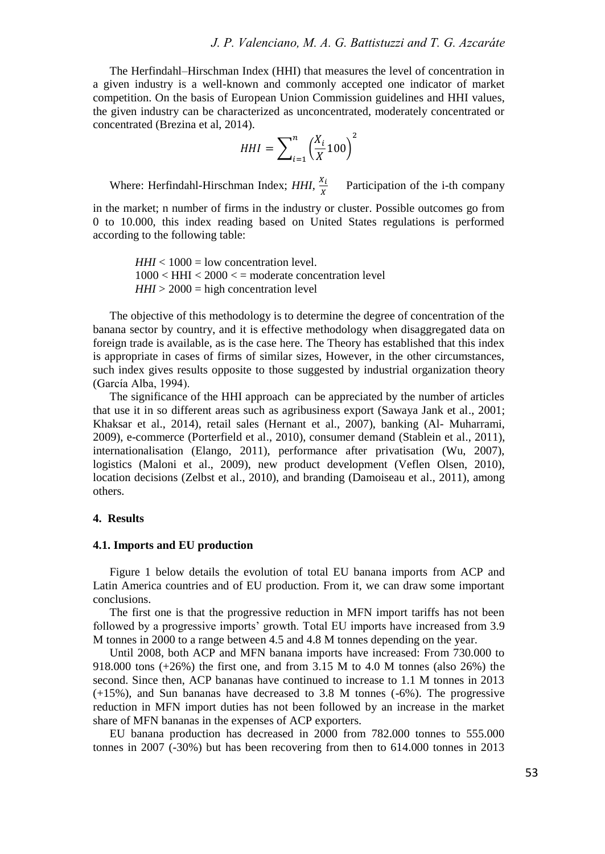The Herfindahl–Hirschman Index (HHI) that measures the level of concentration in a given industry is a well-known and commonly accepted one indicator of market competition. On the basis of European Union Commission guidelines and HHI values, the given industry can be characterized as unconcentrated, moderately concentrated or concentrated (Brezina et al, 2014).

$$
HHI = \sum_{i=1}^{n} \left(\frac{X_i}{X} 100\right)^2
$$

Where: Herfindahl-Hirschman Index; *HHI,* Participation of the i-th company

in the market; n number of firms in the industry or cluster. Possible outcomes go from 0 to 10.000, this index reading based on United States regulations is performed according to the following table:

> $HHI < 1000 =$  low concentration level.  $1000 < HHI < 2000 < \pm$  moderate concentration level *HHI* > 2000 = high concentration level

The objective of this methodology is to determine the degree of concentration of the banana sector by country, and it is effective methodology when disaggregated data on foreign trade is available, as is the case here. The Theory has established that this index is appropriate in cases of firms of similar sizes, However, in the other circumstances, such index gives results opposite to those suggested by industrial organization theory (García Alba, 1994).

The significance of the HHI approach can be appreciated by the number of articles that use it in so different areas such as agribusiness export (Sawaya Jank et al., 2001; Khaksar et al., 2014), retail sales (Hernant et al., 2007), banking (Al- Muharrami, 2009), e-commerce (Porterfield et al., 2010), consumer demand (Stablein et al., 2011), internationalisation (Elango, 2011), performance after privatisation (Wu, 2007), logistics (Maloni et al., 2009), new product development (Veflen Olsen, 2010), location decisions (Zelbst et al., 2010), and branding (Damoiseau et al., 2011), among others.

### **4. Results**

#### **4.1. Imports and EU production**

Figure 1 below details the evolution of total EU banana imports from ACP and Latin America countries and of EU production. From it, we can draw some important conclusions.

The first one is that the progressive reduction in MFN import tariffs has not been followed by a progressive imports' growth. Total EU imports have increased from 3.9 M tonnes in 2000 to a range between 4.5 and 4.8 M tonnes depending on the year.

Until 2008, both ACP and MFN banana imports have increased: From 730.000 to 918.000 tons (+26%) the first one, and from 3.15 M to 4.0 M tonnes (also 26%) the second. Since then, ACP bananas have continued to increase to 1.1 M tonnes in 2013 (+15%), and Sun bananas have decreased to 3.8 M tonnes (-6%). The progressive reduction in MFN import duties has not been followed by an increase in the market share of MFN bananas in the expenses of ACP exporters.

EU banana production has decreased in 2000 from 782.000 tonnes to 555.000 tonnes in 2007 (-30%) but has been recovering from then to 614.000 tonnes in 2013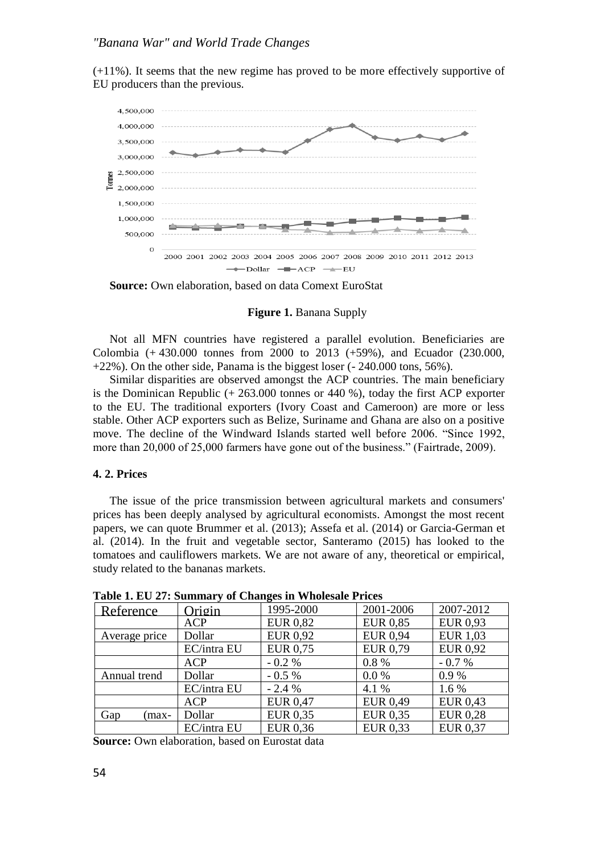(+11%). It seems that the new regime has proved to be more effectively supportive of EU producers than the previous.



**Source:** Own elaboration, based on data Comext EuroStat

#### **Figure 1. Banana Supply**

Not all MFN countries have registered a parallel evolution. Beneficiaries are Colombia (+ 430.000 tonnes from 2000 to 2013 (+59%), and Ecuador (230.000,  $+22\%$ ). On the other side, Panama is the biggest loser ( $-240.000$  tons,  $56\%$ ).

Similar disparities are observed amongst the ACP countries. The main beneficiary is the Dominican Republic (+ 263.000 tonnes or 440 %), today the first ACP exporter to the EU. The traditional exporters (Ivory Coast and Cameroon) are more or less stable. Other ACP exporters such as Belize, Suriname and Ghana are also on a positive move. The decline of the Windward Islands started well before 2006. "Since 1992, more than 20,000 of 25,000 farmers have gone out of the business." (Fairtrade, 2009).

## **4. 2. Prices**

The issue of the price transmission between agricultural markets and consumers' prices has been deeply analysed by agricultural economists. Amongst the most recent papers, we can quote Brummer et al. (2013); Assefa et al. (2014) or Garcia-German et al. (2014). In the fruit and vegetable sector, Santeramo (2015) has looked to the tomatoes and cauliflowers markets. We are not aware of any, theoretical or empirical, study related to the bananas markets.

| Reference     | Origin      | 1995-2000       | 2001-2006       | 2007-2012       |  |
|---------------|-------------|-----------------|-----------------|-----------------|--|
|               | <b>ACP</b>  | <b>EUR 0,82</b> | <b>EUR 0,85</b> | EUR 0.93        |  |
| Average price | Dollar      | <b>EUR 0,92</b> | <b>EUR 0,94</b> | <b>EUR 1,03</b> |  |
|               | EC/intra EU | EUR 0,75        | EUR 0,79        | <b>EUR 0,92</b> |  |
|               | ACP         | $-0.2\%$        | $0.8 \%$        | $-0.7%$         |  |
| Annual trend  | Dollar      | $-0.5\%$        | $0.0\%$         | 0.9%            |  |
|               | EC/intra EU | $-2.4%$         | 4.1 %           | $1.6\%$         |  |
|               | <b>ACP</b>  | <b>EUR 0.47</b> | <b>EUR 0.49</b> | EUR 0.43        |  |
| Gap<br>(max-  | Dollar      | EUR 0,35        | EUR 0,35        | <b>EUR 0,28</b> |  |
|               | EC/intra EU | <b>EUR 0.36</b> | EUR 0.33        | <b>EUR 0,37</b> |  |

**Table 1. EU 27: Summary of Changes in Wholesale Prices**

**Source:** Own elaboration, based on Eurostat data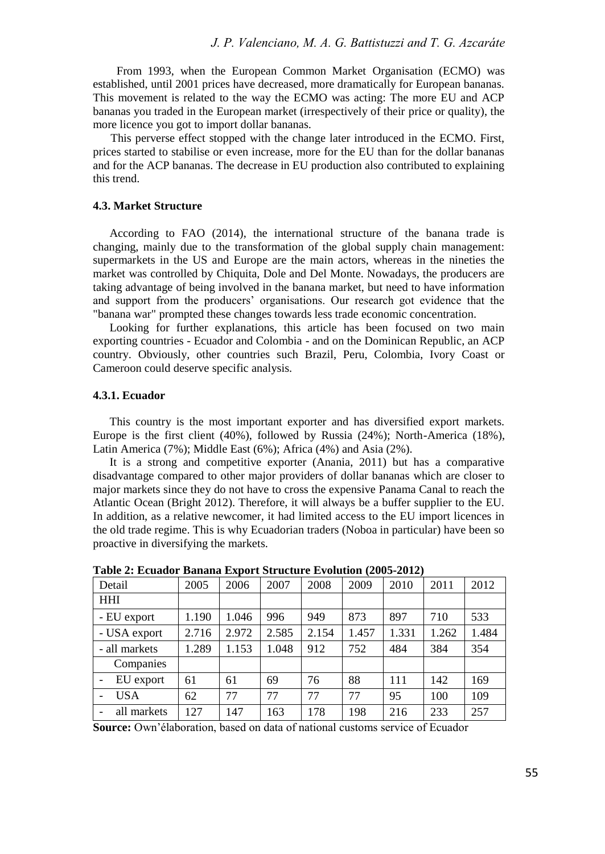From 1993, when the European Common Market Organisation (ECMO) was established, until 2001 prices have decreased, more dramatically for European bananas. This movement is related to the way the ECMO was acting: The more EU and ACP bananas you traded in the European market (irrespectively of their price or quality), the more licence you got to import dollar bananas.

 This perverse effect stopped with the change later introduced in the ECMO. First, prices started to stabilise or even increase, more for the EU than for the dollar bananas and for the ACP bananas. The decrease in EU production also contributed to explaining this trend.

### **4.3. Market Structure**

According to FAO (2014), the international structure of the banana trade is changing, mainly due to the transformation of the global supply chain management: supermarkets in the US and Europe are the main actors, whereas in the nineties the market was controlled by Chiquita, Dole and Del Monte. Nowadays, the producers are taking advantage of being involved in the banana market, but need to have information and support from the producers' organisations. Our research got evidence that the "banana war" prompted these changes towards less trade economic concentration.

Looking for further explanations, this article has been focused on two main exporting countries - Ecuador and Colombia - and on the Dominican Republic, an ACP country. Obviously, other countries such Brazil, Peru, Colombia, Ivory Coast or Cameroon could deserve specific analysis.

#### **4.3.1. Ecuador**

This country is the most important exporter and has diversified export markets. Europe is the first client (40%), followed by Russia (24%); North-America (18%), Latin America (7%); Middle East (6%); Africa (4%) and Asia (2%).

It is a strong and competitive exporter (Anania, 2011) but has a comparative disadvantage compared to other major providers of dollar bananas which are closer to major markets since they do not have to cross the expensive Panama Canal to reach the Atlantic Ocean (Bright 2012). Therefore, it will always be a buffer supplier to the EU. In addition, as a relative newcomer, it had limited access to the EU import licences in the old trade regime. This is why Ecuadorian traders (Noboa in particular) have been so proactive in diversifying the markets.

| Detail        | 2005  | 2006  | 2007  | 2008  | 2009  | 2010  | 2011  | 2012  |  |  |
|---------------|-------|-------|-------|-------|-------|-------|-------|-------|--|--|
| <b>HHI</b>    |       |       |       |       |       |       |       |       |  |  |
| - EU export   | 1.190 | 1.046 | 996   | 949   | 873   | 897   | 710   | 533   |  |  |
| - USA export  | 2.716 | 2.972 | 2.585 | 2.154 | 1.457 | 1.331 | 1.262 | 1.484 |  |  |
| - all markets | 1.289 | 1.153 | 1.048 | 912   | 752   | 484   | 384   | 354   |  |  |
| Companies     |       |       |       |       |       |       |       |       |  |  |
| EU export     | 61    | 61    | 69    | 76    | 88    | 111   | 142   | 169   |  |  |
| <b>USA</b>    | 62    | 77    | 77    | 77    | 77    | 95    | 100   | 109   |  |  |
| all markets   | 127   | 147   | 163   | 178   | 198   | 216   | 233   | 257   |  |  |

**Table 2: Ecuador Banana Export Structure Evolution (2005-2012)**

**Source:** Own'élaboration, based on data of national customs service of Ecuador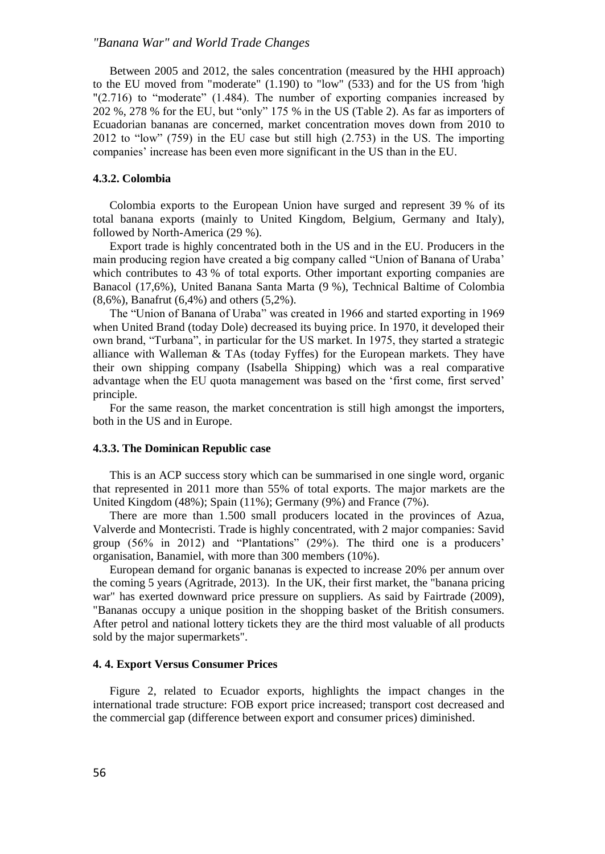Between 2005 and 2012, the sales concentration (measured by the HHI approach) to the EU moved from "moderate" (1.190) to "low" (533) and for the US from 'high "(2.716) to "moderate" (1.484). The number of exporting companies increased by 202 %, 278 % for the EU, but "only" 175 % in the US (Table 2). As far as importers of Ecuadorian bananas are concerned, market concentration moves down from 2010 to 2012 to "low" (759) in the EU case but still high (2.753) in the US. The importing companies' increase has been even more significant in the US than in the EU.

### **4.3.2. Colombia**

Colombia exports to the European Union have surged and represent 39 % of its total banana exports (mainly to United Kingdom, Belgium, Germany and Italy), followed by North-America (29 %).

Export trade is highly concentrated both in the US and in the EU. Producers in the main producing region have created a big company called "Union of Banana of Uraba' which contributes to 43 % of total exports. Other important exporting companies are Banacol (17,6%), United Banana Santa Marta (9 %), Technical Baltime of Colombia (8,6%), Banafrut (6,4%) and others (5,2%).

The "Union of Banana of Uraba" was created in 1966 and started exporting in 1969 when United Brand (today Dole) decreased its buying price. In 1970, it developed their own brand, "Turbana", in particular for the US market. In 1975, they started a strategic alliance with Walleman & TAs (today Fyffes) for the European markets. They have their own shipping company (Isabella Shipping) which was a real comparative advantage when the EU quota management was based on the 'first come, first served' principle.

For the same reason, the market concentration is still high amongst the importers, both in the US and in Europe.

#### **4.3.3. The Dominican Republic case**

This is an ACP success story which can be summarised in one single word, organic that represented in 2011 more than 55% of total exports. The major markets are the United Kingdom (48%); Spain (11%); Germany (9%) and France (7%).

There are more than 1.500 small producers located in the provinces of Azua, Valverde and Montecristi. Trade is highly concentrated, with 2 major companies: Savid group (56% in 2012) and "Plantations" (29%). The third one is a producers' organisation, Banamiel, with more than 300 members (10%).

European demand for organic bananas is expected to increase 20% per annum over the coming 5 years (Agritrade, 2013). In the UK, their first market, the "banana pricing war" has exerted downward price pressure on suppliers. As said by Fairtrade (2009), "Bananas occupy a unique position in the shopping basket of the British consumers. After petrol and national lottery tickets they are the third most valuable of all products sold by the major supermarkets".

### **4. 4. Export Versus Consumer Prices**

Figure 2, related to Ecuador exports, highlights the impact changes in the international trade structure: FOB export price increased; transport cost decreased and the commercial gap (difference between export and consumer prices) diminished.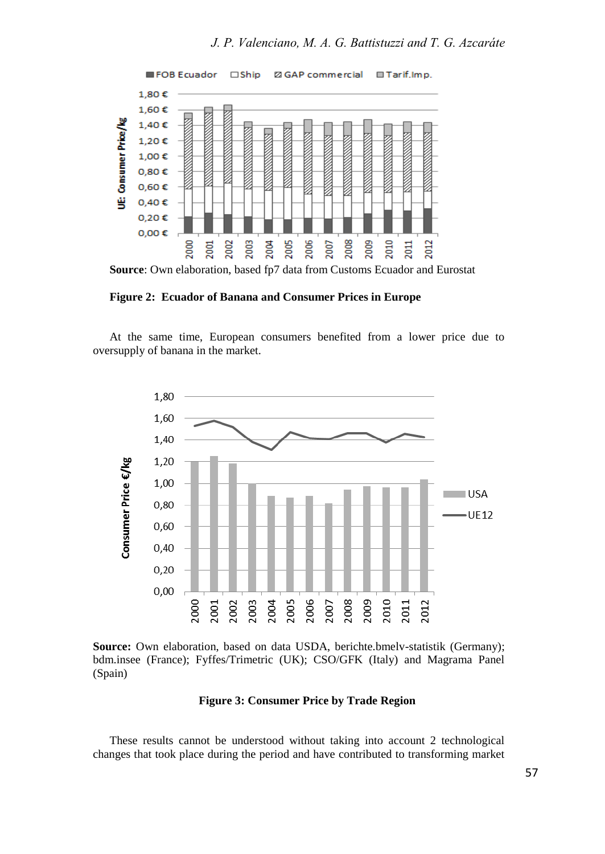

**Source**: Own elaboration, based fp7 data from Customs Ecuador and Eurostat

**Figure 2: Ecuador of Banana and Consumer Prices in Europe**

At the same time, European consumers benefited from a lower price due to oversupply of banana in the market.



**Source:** Own elaboration, based on data USDA, berichte.bmelv-statistik (Germany); bdm.insee (France); Fyffes/Trimetric (UK); CSO/GFK (Italy) and Magrama Panel (Spain)

#### **Figure 3: Consumer Price by Trade Region**

These results cannot be understood without taking into account 2 technological changes that took place during the period and have contributed to transforming market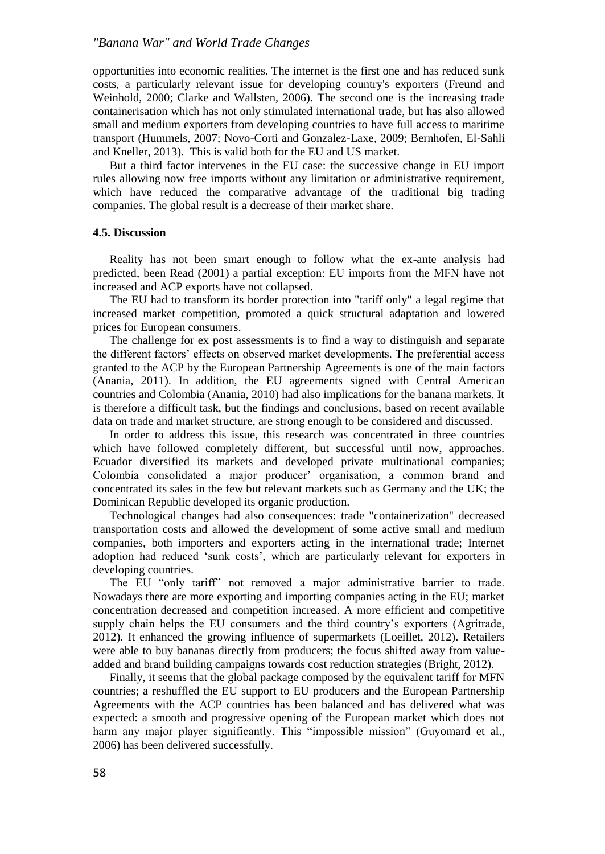opportunities into economic realities. The internet is the first one and has reduced sunk costs, a particularly relevant issue for developing country's exporters (Freund and Weinhold, 2000; Clarke and Wallsten, 2006). The second one is the increasing trade containerisation which has not only stimulated international trade, but has also allowed small and medium exporters from developing countries to have full access to maritime transport (Hummels, 2007; Novo-Corti and Gonzalez-Laxe, 2009; Bernhofen, El-Sahli and Kneller, 2013). This is valid both for the EU and US market.

But a third factor intervenes in the EU case: the successive change in EU import rules allowing now free imports without any limitation or administrative requirement, which have reduced the comparative advantage of the traditional big trading companies. The global result is a decrease of their market share.

### **4.5. Discussion**

Reality has not been smart enough to follow what the ex-ante analysis had predicted, been Read (2001) a partial exception: EU imports from the MFN have not increased and ACP exports have not collapsed.

The EU had to transform its border protection into "tariff only" a legal regime that increased market competition, promoted a quick structural adaptation and lowered prices for European consumers.

The challenge for ex post assessments is to find a way to distinguish and separate the different factors' effects on observed market developments. The preferential access granted to the ACP by the European Partnership Agreements is one of the main factors (Anania, 2011). In addition, the EU agreements signed with Central American countries and Colombia (Anania, 2010) had also implications for the banana markets. It is therefore a difficult task, but the findings and conclusions, based on recent available data on trade and market structure, are strong enough to be considered and discussed.

In order to address this issue, this research was concentrated in three countries which have followed completely different, but successful until now, approaches. Ecuador diversified its markets and developed private multinational companies; Colombia consolidated a major producer' organisation, a common brand and concentrated its sales in the few but relevant markets such as Germany and the UK; the Dominican Republic developed its organic production.

Technological changes had also consequences: trade "containerization" decreased transportation costs and allowed the development of some active small and medium companies, both importers and exporters acting in the international trade; Internet adoption had reduced 'sunk costs', which are particularly relevant for exporters in developing countries.

The EU "only tariff" not removed a major administrative barrier to trade. Nowadays there are more exporting and importing companies acting in the EU; market concentration decreased and competition increased. A more efficient and competitive supply chain helps the EU consumers and the third country's exporters (Agritrade, 2012). It enhanced the growing influence of supermarkets (Loeillet, 2012). Retailers were able to buy bananas directly from producers; the focus shifted away from valueadded and brand building campaigns towards cost reduction strategies (Bright, 2012).

Finally, it seems that the global package composed by the equivalent tariff for MFN countries; a reshuffled the EU support to EU producers and the European Partnership Agreements with the ACP countries has been balanced and has delivered what was expected: a smooth and progressive opening of the European market which does not harm any major player significantly. This "impossible mission" (Guyomard et al., 2006) has been delivered successfully.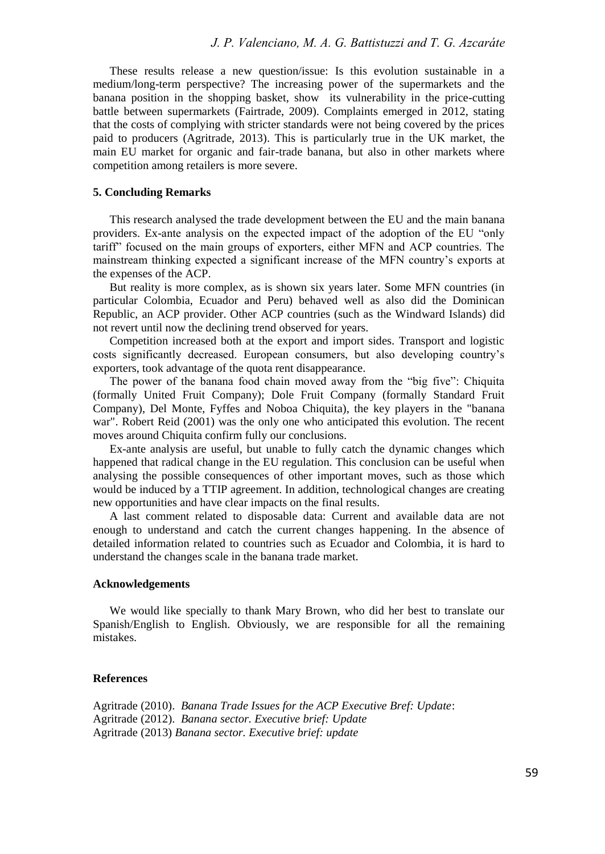These results release a new question/issue: Is this evolution sustainable in a medium/long-term perspective? The increasing power of the supermarkets and the banana position in the shopping basket, show its vulnerability in the price-cutting battle between supermarkets (Fairtrade, 2009). Complaints emerged in 2012, stating that the costs of complying with stricter standards were not being covered by the prices paid to producers (Agritrade, 2013). This is particularly true in the UK market, the main EU market for organic and fair-trade banana, but also in other markets where competition among retailers is more severe.

#### **5. Concluding Remarks**

This research analysed the trade development between the EU and the main banana providers. Ex-ante analysis on the expected impact of the adoption of the EU "only tariff" focused on the main groups of exporters, either MFN and ACP countries. The mainstream thinking expected a significant increase of the MFN country's exports at the expenses of the ACP.

But reality is more complex, as is shown six years later. Some MFN countries (in particular Colombia, Ecuador and Peru) behaved well as also did the Dominican Republic, an ACP provider. Other ACP countries (such as the Windward Islands) did not revert until now the declining trend observed for years.

Competition increased both at the export and import sides. Transport and logistic costs significantly decreased. European consumers, but also developing country's exporters, took advantage of the quota rent disappearance.

The power of the banana food chain moved away from the "big five": Chiquita (formally United Fruit Company); Dole Fruit Company (formally Standard Fruit Company), Del Monte, Fyffes and Noboa Chiquita), the key players in the "banana war". Robert Reid (2001) was the only one who anticipated this evolution. The recent moves around Chiquita confirm fully our conclusions.

Ex-ante analysis are useful, but unable to fully catch the dynamic changes which happened that radical change in the EU regulation. This conclusion can be useful when analysing the possible consequences of other important moves, such as those which would be induced by a TTIP agreement. In addition, technological changes are creating new opportunities and have clear impacts on the final results.

A last comment related to disposable data: Current and available data are not enough to understand and catch the current changes happening. In the absence of detailed information related to countries such as Ecuador and Colombia, it is hard to understand the changes scale in the banana trade market.

## **Acknowledgements**

We would like specially to thank Mary Brown, who did her best to translate our Spanish/English to English. Obviously, we are responsible for all the remaining mistakes.

#### **References**

Agritrade (2010). *Banana Trade Issues for the ACP Executive Bref: Update*: Agritrade (2012). *Banana sector. Executive brief: Update* Agritrade (2013) *Banana sector. Executive brief: update*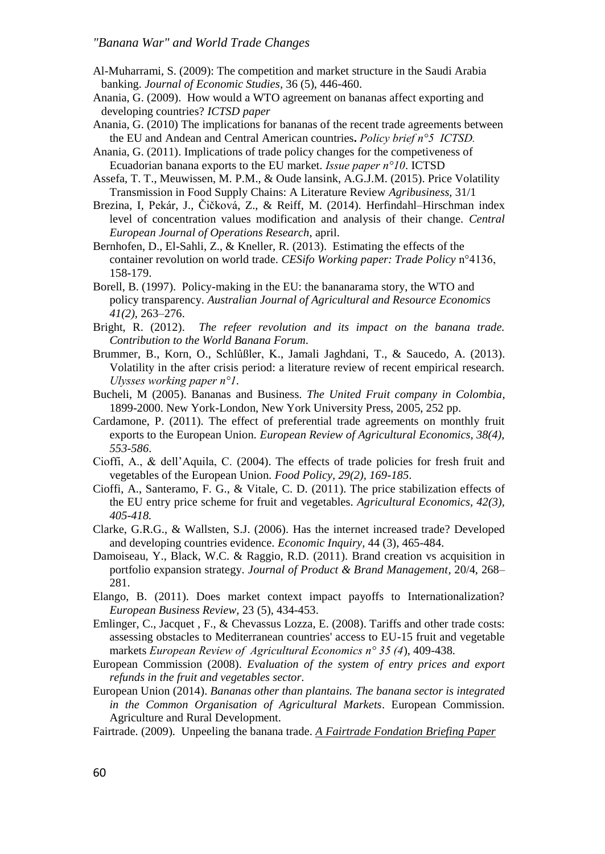- Al-Muharrami, S. (2009): The competition and market structure in the Saudi Arabia banking. *Journal of Economic Studies,* 36 (5), 446-460.
- Anania, G. (2009).How would a WTO agreement on bananas affect exporting and developing countries? *ICTSD paper*
- Anania, G. (2010) The implications for bananas of the recent trade agreements between the EU and Andean and Central American countries**.** *Policy brief n°5 ICTSD.*
- Anania, G. (2011). Implications of trade policy changes for the competiveness of Ecuadorian banana exports to the EU market. *Issue paper n°10*. ICTSD
- Assefa, T. T., Meuwissen, M. P.M., & Oude lansink, A.G.J.M. (2015). Price Volatility Transmission in Food Supply Chains: A Literature Review *Agribusiness,* 31/1
- [Brezina,](http://link.springer.com/search?facet-creator=) I, [Pekár,](http://link.springer.com/search?facet-creator=) J., [Čičková,](http://link.springer.com/search?facet-creator=) Z., & [Reiff,](http://link.springer.com/search?facet-creator=) M. (2014). Herfindahl–Hirschman index level of concentration values modification and analysis of their change. *[Central](http://link.springer.com/journal/10100)  [European Journal of Operations Research](http://link.springer.com/journal/10100)*, april.
- Bernhofen, D., El-Sahli, Z., & Kneller, R. (2013). Estimating the effects of the container revolution on world trade. *CESifo Working paper: Trade Policy* n°4136, 158-179.
- Borell, B. (1997). Policy-making in the EU: the bananarama story, the WTO and policy transparency. *Australian Journal of Agricultural and Resource Economics 41(2),* 263–276.
- Bright, R. (2012). *The refeer revolution and its impact on the banana trade. Contribution to the World Banana Forum.*
- Brummer, B., Korn, O., Schlûßler, K., Jamali Jaghdani, T., & Saucedo, A. (2013). Volatility in the after crisis period: a literature review of recent empirical research. *Ulysses working paper n°1.*
- Bucheli, M (2005). Bananas and Business. *The United Fruit company in Colombia*, 1899-2000. New York-London, New York University Press, 2005, 252 pp.
- Cardamone, P. (2011). The effect of preferential trade agreements on monthly fruit exports to the European Union. *European Review of Agricultural Economics, 38(4), 553-586*.
- Cioffi, A., & dell'Aquila, C. (2004). The effects of trade policies for fresh fruit and vegetables of the European Union. *Food Policy, 29(2), 169-185*.
- Cioffi, A., Santeramo, F. G., & Vitale, C. D. (2011). The price stabilization effects of the EU entry price scheme for fruit and vegetables*. Agricultural Economics, 42(3), 405-418.*
- Clarke, G.R.G., & Wallsten, S.J. (2006). Has the internet increased trade? Developed and developing countries evidence. *Economic Inquiry,* 44 (3), 465-484.
- Damoiseau, Y., Black, W.C. & Raggio, R.D. (2011). Brand creation vs acquisition in portfolio expansion strategy. *Journal of Product & Brand Management,* 20/4, 268– 281.
- Elango, B. (2011). Does market context impact payoffs to Internationalization? *European Business Review,* 23 (5), 434-453.
- Emlinger, C., Jacquet , F., & Chevassus Lozza, E. (2008). Tariffs and other trade costs: assessing obstacles to Mediterranean countries' access to EU-15 fruit and vegetable markets *European Review of Agricultural Economics n° 35 (4*), 409-438.
- European Commission (2008). *Evaluation of the system of entry prices and export refunds in the fruit and vegetables sector.*
- European Union (2014). *Bananas other than plantains. The banana sector is integrated in the Common Organisation of Agricultural Markets*. European Commission. Agriculture and Rural Development.
- Fairtrade. (2009). Unpeeling the banana trade. *A Fairtrade Fondation Briefing Paper*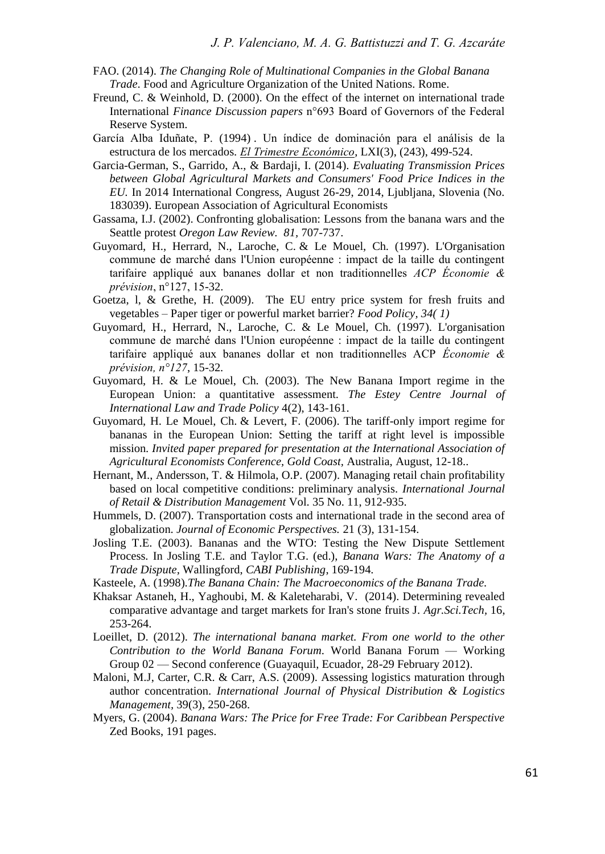- FAO. (2014). *The Changing Role of Multinational Companies in the Global Banana Trade*. Food and Agriculture Organization of the United Nations*.* Rome.
- Freund, C. & Weinhold, D. (2000). On the effect of the internet on international trade International *Finance Discussion papers* n°693 Board of Governors of the Federal Reserve System.
- García Alba Iduñate, P. (1994) . Un índice de dominación para el análisis de la estructura de los mercados. *[El Trimestre Económico](http://econpapers.repec.org/article/eltjournl/)*, LXI(3), (243), 499-524.
- Garcia-German, S., Garrido, A., & Bardaji, I. (2014). *Evaluating Transmission Prices between Global Agricultural Markets and Consumers' Food Price Indices in the EU.* In 2014 International Congress, August 26-29, 2014, Ljubljana, Slovenia (No. 183039). European Association of Agricultural Economists
- Gassama, I.J. (2002). Confronting globalisation: Lessons from the banana wars and the Seattle protest *Oregon Law Review. 81,* 707-737.
- Guyomard, H., Herrard, N., Laroche, C. & Le Mouel, Ch. (1997). L'Organisation commune de marché dans l'Union européenne : impact de la taille du contingent tarifaire appliqué aux bananes dollar et non traditionnelles *ACP Économie & prévision*, n°127, 15-32.
- Goetza, l, & Grethe, H. (2009). The EU entry price system for fresh fruits and vegetables – Paper tiger or powerful market barrier? *Food Policy, 34( 1)*
- Guyomard, H., Herrard, N., Laroche, C. & Le Mouel, Ch. (1997). L'organisation commune de marché dans l'Union européenne : impact de la taille du contingent tarifaire appliqué aux bananes dollar et non traditionnelles ACP *Économie & prévision, n°127*, 15-32*.*
- Guyomard, H. & Le Mouel, Ch. (2003). The New Banana Import regime in the European Union: a quantitative assessment. *The Estey Centre Journal of International Law and Trade Policy* 4(2), 143-161.
- Guyomard, H. Le Mouel, Ch. & Levert, F. (2006). The tariff-only import regime for bananas in the European Union: Setting the tariff at right level is impossible mission. *Invited paper prepared for presentation at the International Association of Agricultural Economists Conference, Gold Coast,* Australia, August, 12-18..
- Hernant, M., Andersson, T. & Hilmola, O.P. (2007). Managing retail chain profitability based on local competitive conditions: preliminary analysis. *International Journal of Retail & Distribution Management* Vol. 35 No. 11, 912-935.
- Hummels, D. (2007). Transportation costs and international trade in the second area of globalization. *Journal of Economic Perspectives.* 21 (3), 131-154.
- Josling T.E. (2003). Bananas and the WTO: Testing the New Dispute Settlement Process. In Josling T.E. and Taylor T.G. (ed.), *Banana Wars: The Anatomy of a Trade Dispute,* Wallingford, *CABI Publishing*, 169-194.
- Kasteele, A. (1998).*The Banana Chain: The Macroeconomics of the Banana Trade.*
- Khaksar Astaneh, H., Yaghoubi, M. & Kaleteharabi, V. (2014). Determining revealed comparative advantage and target markets for Iran's stone fruits J. *Agr.Sci.Tech,* 16, 253-264.
- Loeillet, D. (2012). *The international banana market. From one world to the other Contribution to the World Banana Forum.* World Banana Forum — Working Group 02 — Second conference (Guayaquil, Ecuador, 28-29 February 2012).
- Maloni, M.J, Carter, C.R. & Carr, A.S. (2009). Assessing logistics maturation through author concentration. *International Journal of Physical Distribution & Logistics Management,* 39(3), 250-268.
- Myers, G. (2004). *Banana Wars: The Price for Free Trade: For Caribbean Perspective* Zed Books, 191 pages.